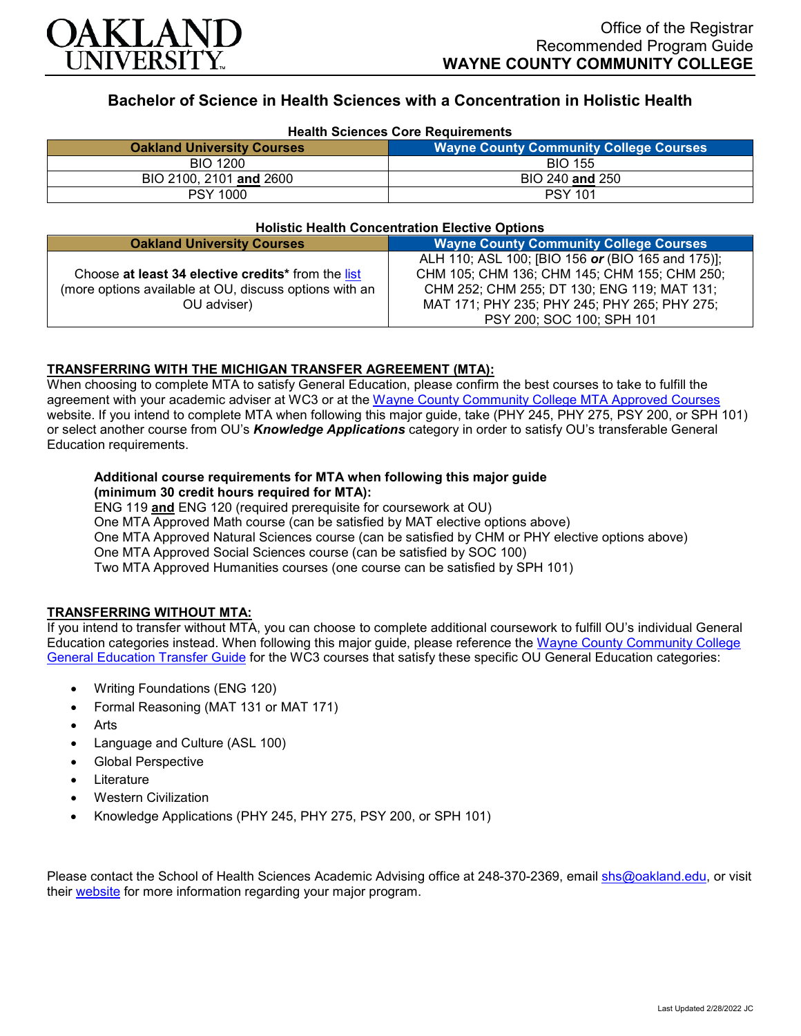

# **Bachelor of Science in Health Sciences with a Concentration in Holistic Health**

| <b>Health Sciences Core Requirements</b> |                                               |
|------------------------------------------|-----------------------------------------------|
| <b>Oakland University Courses</b>        | <b>Wayne County Community College Courses</b> |
| <b>BIO 1200</b>                          | <b>BIO 155</b>                                |
| BIO 2100, 2101 and 2600                  | BIO 240 and 250                               |
| <b>PSY 1000</b>                          | <b>PSY 101</b>                                |

#### **Holistic Health Concentration Elective Options**

| <b>Oakland University Courses</b>                      | <b>Wayne County Community College Courses</b>     |
|--------------------------------------------------------|---------------------------------------------------|
|                                                        | ALH 110; ASL 100; [BIO 156 or (BIO 165 and 175)]; |
| Choose at least 34 elective credits* from the list     | CHM 105; CHM 136; CHM 145; CHM 155; CHM 250;      |
| (more options available at OU, discuss options with an | CHM 252; CHM 255; DT 130; ENG 119; MAT 131;       |
| OU adviser)                                            | MAT 171; PHY 235; PHY 245; PHY 265; PHY 275;      |
|                                                        | PSY 200; SOC 100; SPH 101                         |

## **TRANSFERRING WITH THE MICHIGAN TRANSFER AGREEMENT (MTA):**

When choosing to complete MTA to satisfy General Education, please confirm the best courses to take to fulfill the agreement with your academic adviser at WC3 or at the Wayne [County Community College](http://www.wcccd.edu/students/pp_transfer_agreement.html) MTA Approved Courses website. If you intend to complete MTA when following this major guide, take (PHY 245, PHY 275, PSY 200, or SPH 101) or select another course from OU's *Knowledge Applications* category in order to satisfy OU's transferable General Education requirements.

### **Additional course requirements for MTA when following this major guide (minimum 30 credit hours required for MTA):**

ENG 119 **and** ENG 120 (required prerequisite for coursework at OU) One MTA Approved Math course (can be satisfied by MAT elective options above) One MTA Approved Natural Sciences course (can be satisfied by CHM or PHY elective options above) One MTA Approved Social Sciences course (can be satisfied by SOC 100) Two MTA Approved Humanities courses (one course can be satisfied by SPH 101)

## **TRANSFERRING WITHOUT MTA:**

If you intend to transfer without MTA, you can choose to complete additional coursework to fulfill OU's individual General Education categories instead. When following this major guide, please reference the Wayne [County Community College](https://www.oakland.edu/Assets/Oakland/program-guides/wayne-county-community-college/university-general-education-requirements/Wayne%20Gen%20Ed.pdf) [General Education Transfer Guide](https://www.oakland.edu/Assets/Oakland/program-guides/wayne-county-community-college/university-general-education-requirements/Wayne%20Gen%20Ed.pdf) for the WC3 courses that satisfy these specific OU General Education categories:

- Writing Foundations (ENG 120)
- Formal Reasoning (MAT 131 or MAT 171)
- **Arts**
- Language and Culture (ASL 100)
- Global Perspective
- **Literature**
- Western Civilization
- Knowledge Applications (PHY 245, PHY 275, PSY 200, or SPH 101)

Please contact the School of Health Sciences Academic Advising office at 248-370-2369, email [shs@oakland.edu,](mailto:shs@oakland.edu) or visit their [website](http://www.oakland.edu/shs/advising) for more information regarding your major program.